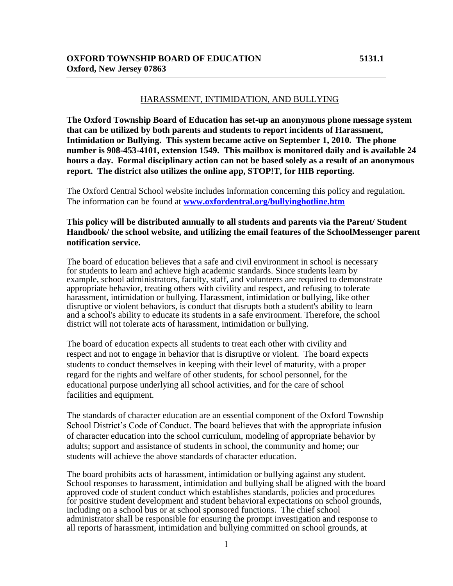### HARASSMENT, INTIMIDATION, AND BULLYING

**The Oxford Township Board of Education has set-up an anonymous phone message system that can be utilized by both parents and students to report incidents of Harassment, Intimidation or Bullying. This system became active on September 1, 2010. The phone number is 908-453-4101, extension 1549. This mailbox is monitored daily and is available 24 hours a day. Formal disciplinary action can not be based solely as a result of an anonymous report. The district also utilizes the online app, STOP!T, for HIB reporting.** 

The Oxford Central School website includes information concerning this policy and regulation. The information can be found at **[www.oxfordentral.org/bullyinghotline.htm](http://www.oxfordentral.org/bullyinghotline.htm)**

### **This policy will be distributed annually to all students and parents via the Parent/ Student Handbook/ the school website, and utilizing the email features of the SchoolMessenger parent notification service.**

The board of education believes that a safe and civil environment in school is necessary for students to learn and achieve high academic standards. Since students learn by example, school administrators, faculty, staff, and volunteers are required to demonstrate appropriate behavior, treating others with civility and respect, and refusing to tolerate harassment, intimidation or bullying. Harassment, intimidation or bullying, like other disruptive or violent behaviors, is conduct that disrupts both a student's ability to learn and a school's ability to educate its students in a safe environment. Therefore, the school district will not tolerate acts of harassment, intimidation or bullying.

The board of education expects all students to treat each other with civility and respect and not to engage in behavior that is disruptive or violent. The board expects students to conduct themselves in keeping with their level of maturity, with a proper regard for the rights and welfare of other students, for school personnel, for the educational purpose underlying all school activities, and for the care of school facilities and equipment.

The standards of character education are an essential component of the Oxford Township School District's Code of Conduct. The board believes that with the appropriate infusion of character education into the school curriculum, modeling of appropriate behavior by adults; support and assistance of students in school, the community and home; our students will achieve the above standards of character education.

The board prohibits acts of harassment, intimidation or bullying against any student. School responses to harassment, intimidation and bullying shall be aligned with the board approved code of student conduct which establishes standards, policies and procedures for positive student development and student behavioral expectations on school grounds, including on a school bus or at school sponsored functions. The chief school administrator shall be responsible for ensuring the prompt investigation and response to all reports of harassment, intimidation and bullying committed on school grounds, at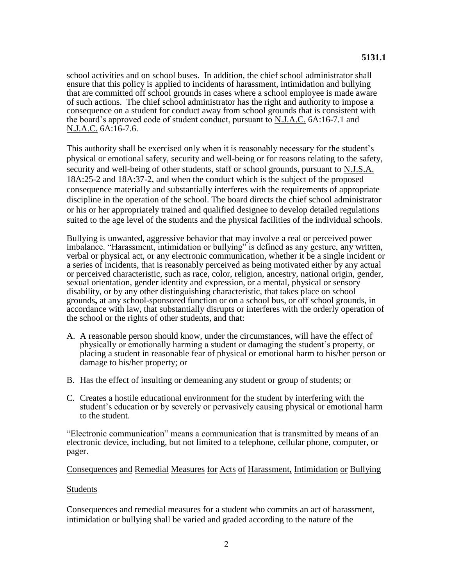school activities and on school buses. In addition, the chief school administrator shall ensure that this policy is applied to incidents of harassment, intimidation and bullying that are committed off school grounds in cases where a school employee is made aware of such actions. The chief school administrator has the right and authority to impose a consequence on a student for conduct away from school grounds that is consistent with the board's approved code of student conduct, pursuant to N.J.A.C. 6A:16-7.1 and N.J.A.C. 6A:16-7.6.

This authority shall be exercised only when it is reasonably necessary for the student's physical or emotional safety, security and well-being or for reasons relating to the safety, security and well-being of other students, staff or school grounds, pursuant to N.J.S.A. 18A:25-2 and 18A:37-2, and when the conduct which is the subject of the proposed consequence materially and substantially interferes with the requirements of appropriate discipline in the operation of the school. The board directs the chief school administrator or his or her appropriately trained and qualified designee to develop detailed regulations suited to the age level of the students and the physical facilities of the individual schools.

Bullying is unwanted, aggressive behavior that may involve a real or perceived power imbalance. "Harassment, intimidation or bullying" is defined as any gesture, any written, verbal or physical act, or any electronic communication, whether it be a single incident or a series of incidents, that is reasonably perceived as being motivated either by any actual or perceived characteristic, such as race, color, religion, ancestry, national origin, gender, sexual orientation, gender identity and expression, or a mental, physical or sensory disability, or by any other distinguishing characteristic, that takes place on school grounds**,** at any school-sponsored function or on a school bus, or off school grounds, in accordance with law, that substantially disrupts or interferes with the orderly operation of the school or the rights of other students, and that:

- A. A reasonable person should know, under the circumstances, will have the effect of physically or emotionally harming a student or damaging the student's property, or placing a student in reasonable fear of physical or emotional harm to his/her person or damage to his/her property; or
- B. Has the effect of insulting or demeaning any student or group of students; or
- C. Creates a hostile educational environment for the student by interfering with the student's education or by severely or pervasively causing physical or emotional harm to the student.

"Electronic communication" means a communication that is transmitted by means of an electronic device, including, but not limited to a telephone, cellular phone, computer, or pager.

#### Consequences and Remedial Measures for Acts of Harassment, Intimidation or Bullying

#### Students

Consequences and remedial measures for a student who commits an act of harassment, intimidation or bullying shall be varied and graded according to the nature of the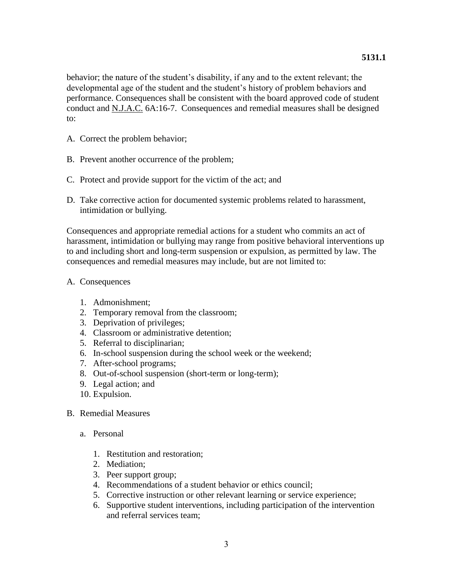behavior; the nature of the student's disability, if any and to the extent relevant; the developmental age of the student and the student's history of problem behaviors and performance. Consequences shall be consistent with the board approved code of student conduct and N.J.A.C. 6A:16-7. Consequences and remedial measures shall be designed to:

- A. Correct the problem behavior;
- B. Prevent another occurrence of the problem;
- C. Protect and provide support for the victim of the act; and
- D. Take corrective action for documented systemic problems related to harassment, intimidation or bullying.

Consequences and appropriate remedial actions for a student who commits an act of harassment, intimidation or bullying may range from positive behavioral interventions up to and including short and long-term suspension or expulsion, as permitted by law. The consequences and remedial measures may include, but are not limited to:

### A. Consequences

- 1. Admonishment;
- 2. Temporary removal from the classroom;
- 3. Deprivation of privileges;
- 4. Classroom or administrative detention;
- 5. Referral to disciplinarian;
- 6. In-school suspension during the school week or the weekend;
- 7. After-school programs;
- 8. Out-of-school suspension (short-term or long-term);
- 9. Legal action; and
- 10. Expulsion.
- B. Remedial Measures
	- a. Personal
		- 1. Restitution and restoration;
		- 2. Mediation;
		- 3. Peer support group;
		- 4. Recommendations of a student behavior or ethics council;
		- 5. Corrective instruction or other relevant learning or service experience;
		- 6. Supportive student interventions, including participation of the intervention and referral services team;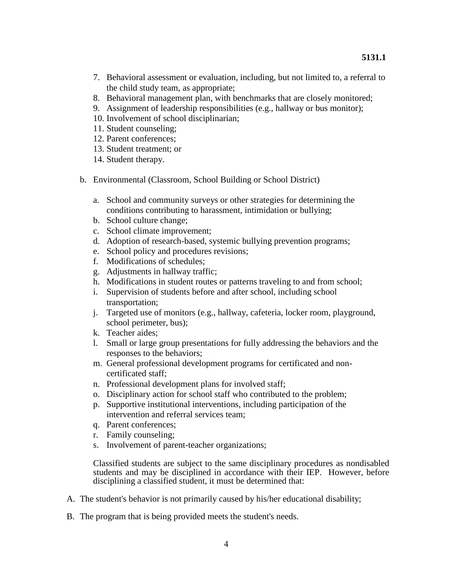- 7. Behavioral assessment or evaluation, including, but not limited to, a referral to the child study team, as appropriate;
- 8. Behavioral management plan, with benchmarks that are closely monitored;
- 9. Assignment of leadership responsibilities (e.g., hallway or bus monitor);
- 10. Involvement of school disciplinarian;
- 11. Student counseling;
- 12. Parent conferences;
- 13. Student treatment; or
- 14. Student therapy.
- b. Environmental (Classroom, School Building or School District)
	- a. School and community surveys or other strategies for determining the conditions contributing to harassment, intimidation or bullying;
	- b. School culture change;
	- c. School climate improvement;
	- d. Adoption of research-based, systemic bullying prevention programs;
	- e. School policy and procedures revisions;
	- f. Modifications of schedules;
	- g. Adjustments in hallway traffic;
	- h. Modifications in student routes or patterns traveling to and from school;
	- i. Supervision of students before and after school, including school transportation;
	- j. Targeted use of monitors (e.g., hallway, cafeteria, locker room, playground, school perimeter, bus);
	- k. Teacher aides;
	- l. Small or large group presentations for fully addressing the behaviors and the responses to the behaviors;
	- m. General professional development programs for certificated and noncertificated staff;
	- n. Professional development plans for involved staff;
	- o. Disciplinary action for school staff who contributed to the problem;
	- p. Supportive institutional interventions, including participation of the intervention and referral services team;
	- q. Parent conferences;
	- r. Family counseling;
	- s. Involvement of parent-teacher organizations;

Classified students are subject to the same disciplinary procedures as nondisabled students and may be disciplined in accordance with their IEP. However, before disciplining a classified student, it must be determined that:

- A. The student's behavior is not primarily caused by his/her educational disability;
- B. The program that is being provided meets the student's needs.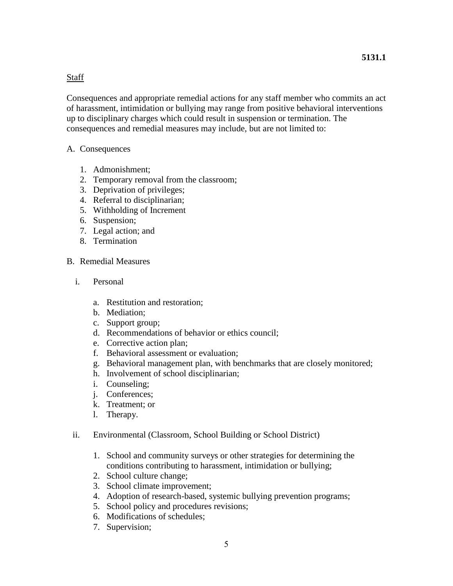### **Staff**

Consequences and appropriate remedial actions for any staff member who commits an act of harassment, intimidation or bullying may range from positive behavioral interventions up to disciplinary charges which could result in suspension or termination. The consequences and remedial measures may include, but are not limited to:

### A. Consequences

- 1. Admonishment;
- 2. Temporary removal from the classroom;
- 3. Deprivation of privileges;
- 4. Referral to disciplinarian;
- 5. Withholding of Increment
- 6. Suspension;
- 7. Legal action; and
- 8. Termination

## B. Remedial Measures

- i. Personal
	- a. Restitution and restoration;
	- b. Mediation;
	- c. Support group;
	- d. Recommendations of behavior or ethics council;
	- e. Corrective action plan;
	- f. Behavioral assessment or evaluation;
	- g. Behavioral management plan, with benchmarks that are closely monitored;
	- h. Involvement of school disciplinarian;
	- i. Counseling;
	- j. Conferences;
	- k. Treatment; or
	- l. Therapy.
- ii. Environmental (Classroom, School Building or School District)
	- 1. School and community surveys or other strategies for determining the conditions contributing to harassment, intimidation or bullying;
	- 2. School culture change;
	- 3. School climate improvement;
	- 4. Adoption of research-based, systemic bullying prevention programs;
	- 5. School policy and procedures revisions;
	- 6. Modifications of schedules;
	- 7. Supervision;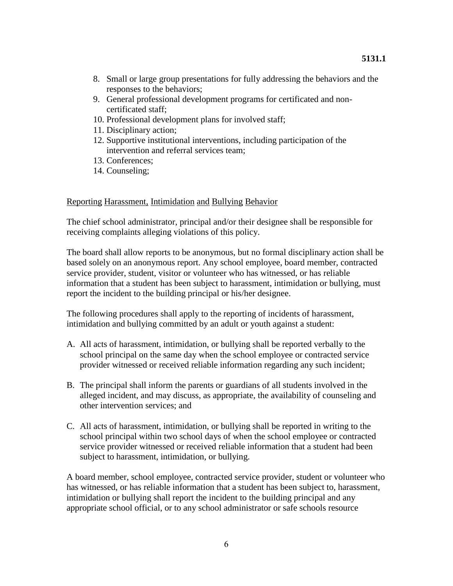- 8. Small or large group presentations for fully addressing the behaviors and the responses to the behaviors;
- 9. General professional development programs for certificated and noncertificated staff;
- 10. Professional development plans for involved staff;
- 11. Disciplinary action;
- 12. Supportive institutional interventions, including participation of the intervention and referral services team;
- 13. Conferences;
- 14. Counseling;

### Reporting Harassment, Intimidation and Bullying Behavior

The chief school administrator, principal and/or their designee shall be responsible for receiving complaints alleging violations of this policy.

The board shall allow reports to be anonymous, but no formal disciplinary action shall be based solely on an anonymous report. Any school employee, board member, contracted service provider, student, visitor or volunteer who has witnessed, or has reliable information that a student has been subject to harassment, intimidation or bullying, must report the incident to the building principal or his/her designee.

The following procedures shall apply to the reporting of incidents of harassment, intimidation and bullying committed by an adult or youth against a student:

- A. All acts of harassment, intimidation, or bullying shall be reported verbally to the school principal on the same day when the school employee or contracted service provider witnessed or received reliable information regarding any such incident;
- B. The principal shall inform the parents or guardians of all students involved in the alleged incident, and may discuss, as appropriate, the availability of counseling and other intervention services; and
- C. All acts of harassment, intimidation, or bullying shall be reported in writing to the school principal within two school days of when the school employee or contracted service provider witnessed or received reliable information that a student had been subject to harassment, intimidation, or bullying.

A board member, school employee, contracted service provider, student or volunteer who has witnessed, or has reliable information that a student has been subject to, harassment, intimidation or bullying shall report the incident to the building principal and any appropriate school official, or to any school administrator or safe schools resource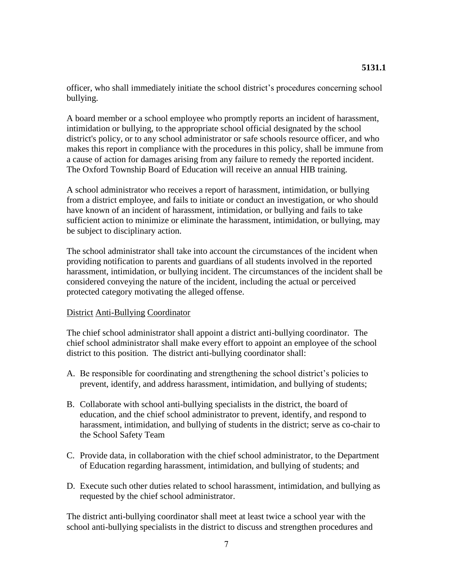officer, who shall immediately initiate the school district's procedures concerning school bullying.

A board member or a school employee who promptly reports an incident of harassment, intimidation or bullying, to the appropriate school official designated by the school district's policy, or to any school administrator or safe schools resource officer, and who makes this report in compliance with the procedures in this policy, shall be immune from a cause of action for damages arising from any failure to remedy the reported incident. The Oxford Township Board of Education will receive an annual HIB training.

A school administrator who receives a report of harassment, intimidation, or bullying from a district employee, and fails to initiate or conduct an investigation, or who should have known of an incident of harassment, intimidation, or bullying and fails to take sufficient action to minimize or eliminate the harassment, intimidation, or bullying, may be subject to disciplinary action.

The school administrator shall take into account the circumstances of the incident when providing notification to parents and guardians of all students involved in the reported harassment, intimidation, or bullying incident. The circumstances of the incident shall be considered conveying the nature of the incident, including the actual or perceived protected category motivating the alleged offense.

#### District Anti-Bullying Coordinator

The chief school administrator shall appoint a district anti-bullying coordinator. The chief school administrator shall make every effort to appoint an employee of the school district to this position. The district anti-bullying coordinator shall:

- A. Be responsible for coordinating and strengthening the school district's policies to prevent, identify, and address harassment, intimidation, and bullying of students;
- B. Collaborate with school anti-bullying specialists in the district, the board of education, and the chief school administrator to prevent, identify, and respond to harassment, intimidation, and bullying of students in the district; serve as co-chair to the School Safety Team
- C. Provide data, in collaboration with the chief school administrator, to the Department of Education regarding harassment, intimidation, and bullying of students; and
- D. Execute such other duties related to school harassment, intimidation, and bullying as requested by the chief school administrator.

The district anti-bullying coordinator shall meet at least twice a school year with the school anti-bullying specialists in the district to discuss and strengthen procedures and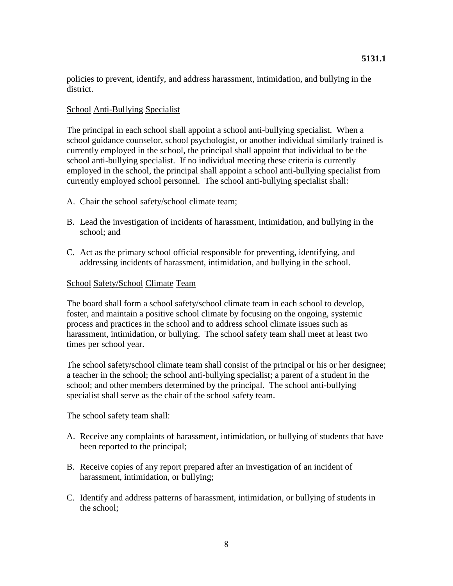policies to prevent, identify, and address harassment, intimidation, and bullying in the district.

### School Anti-Bullying Specialist

The principal in each school shall appoint a school anti-bullying specialist. When a school guidance counselor, school psychologist, or another individual similarly trained is currently employed in the school, the principal shall appoint that individual to be the school anti-bullying specialist. If no individual meeting these criteria is currently employed in the school, the principal shall appoint a school anti-bullying specialist from currently employed school personnel. The school anti-bullying specialist shall:

- A. Chair the school safety/school climate team;
- B. Lead the investigation of incidents of harassment, intimidation, and bullying in the school; and
- C. Act as the primary school official responsible for preventing, identifying, and addressing incidents of harassment, intimidation, and bullying in the school.

## School Safety/School Climate Team

The board shall form a school safety/school climate team in each school to develop, foster, and maintain a positive school climate by focusing on the ongoing, systemic process and practices in the school and to address school climate issues such as harassment, intimidation, or bullying. The school safety team shall meet at least two times per school year.

The school safety/school climate team shall consist of the principal or his or her designee; a teacher in the school; the school anti-bullying specialist; a parent of a student in the school; and other members determined by the principal. The school anti-bullying specialist shall serve as the chair of the school safety team.

The school safety team shall:

- A. Receive any complaints of harassment, intimidation, or bullying of students that have been reported to the principal;
- B. Receive copies of any report prepared after an investigation of an incident of harassment, intimidation, or bullying;
- C. Identify and address patterns of harassment, intimidation, or bullying of students in the school;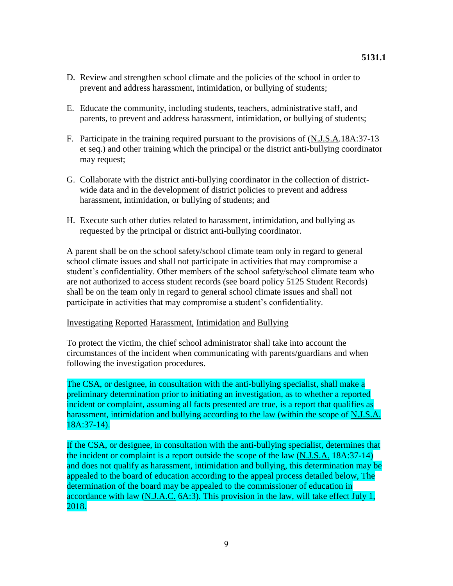- D. Review and strengthen school climate and the policies of the school in order to prevent and address harassment, intimidation, or bullying of students;
- E. Educate the community, including students, teachers, administrative staff, and parents, to prevent and address harassment, intimidation, or bullying of students;
- F. Participate in the training required pursuant to the provisions of (N.J.S.A.18A:37-13 et seq.) and other training which the principal or the district anti-bullying coordinator may request;
- G. Collaborate with the district anti-bullying coordinator in the collection of districtwide data and in the development of district policies to prevent and address harassment, intimidation, or bullying of students; and
- H. Execute such other duties related to harassment, intimidation, and bullying as requested by the principal or district anti-bullying coordinator.

A parent shall be on the school safety/school climate team only in regard to general school climate issues and shall not participate in activities that may compromise a student's confidentiality. Other members of the school safety/school climate team who are not authorized to access student records (see board policy 5125 Student Records) shall be on the team only in regard to general school climate issues and shall not participate in activities that may compromise a student's confidentiality.

### Investigating Reported Harassment, Intimidation and Bullying

To protect the victim, the chief school administrator shall take into account the circumstances of the incident when communicating with parents/guardians and when following the investigation procedures.

The CSA, or designee, in consultation with the anti-bullying specialist, shall make a preliminary determination prior to initiating an investigation, as to whether a reported incident or complaint, assuming all facts presented are true, is a report that qualifies as harassment, intimidation and bullying according to the law (within the scope of N.J.S.A. 18A:37-14).

If the CSA, or designee, in consultation with the anti-bullying specialist, determines that the incident or complaint is a report outside the scope of the law (N.J.S.A. 18A:37-14) and does not qualify as harassment, intimidation and bullying, this determination may be appealed to the board of education according to the appeal process detailed below, The determination of the board may be appealed to the commissioner of education in accordance with law (N.J.A.C. 6A:3). This provision in the law, will take effect July 1, 2018.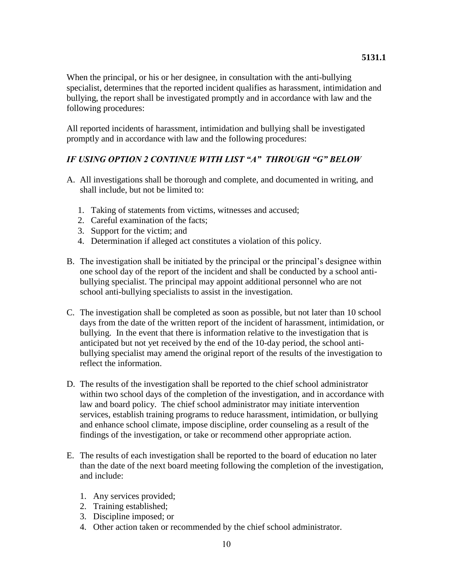When the principal, or his or her designee, in consultation with the anti-bullying specialist, determines that the reported incident qualifies as harassment, intimidation and bullying, the report shall be investigated promptly and in accordance with law and the following procedures:

All reported incidents of harassment, intimidation and bullying shall be investigated promptly and in accordance with law and the following procedures:

## *IF USING OPTION 2 CONTINUE WITH LIST "A" THROUGH "G" BELOW*

- A. All investigations shall be thorough and complete, and documented in writing, and shall include, but not be limited to:
	- 1. Taking of statements from victims, witnesses and accused;
	- 2. Careful examination of the facts;
	- 3. Support for the victim; and
	- 4. Determination if alleged act constitutes a violation of this policy.
- B. The investigation shall be initiated by the principal or the principal's designee within one school day of the report of the incident and shall be conducted by a school antibullying specialist. The principal may appoint additional personnel who are not school anti-bullying specialists to assist in the investigation.
- C. The investigation shall be completed as soon as possible, but not later than 10 school days from the date of the written report of the incident of harassment, intimidation, or bullying. In the event that there is information relative to the investigation that is anticipated but not yet received by the end of the 10-day period, the school antibullying specialist may amend the original report of the results of the investigation to reflect the information.
- D. The results of the investigation shall be reported to the chief school administrator within two school days of the completion of the investigation, and in accordance with law and board policy. The chief school administrator may initiate intervention services, establish training programs to reduce harassment, intimidation, or bullying and enhance school climate, impose discipline, order counseling as a result of the findings of the investigation, or take or recommend other appropriate action.
- E. The results of each investigation shall be reported to the board of education no later than the date of the next board meeting following the completion of the investigation, and include:
	- 1. Any services provided;
	- 2. Training established;
	- 3. Discipline imposed; or
	- 4. Other action taken or recommended by the chief school administrator.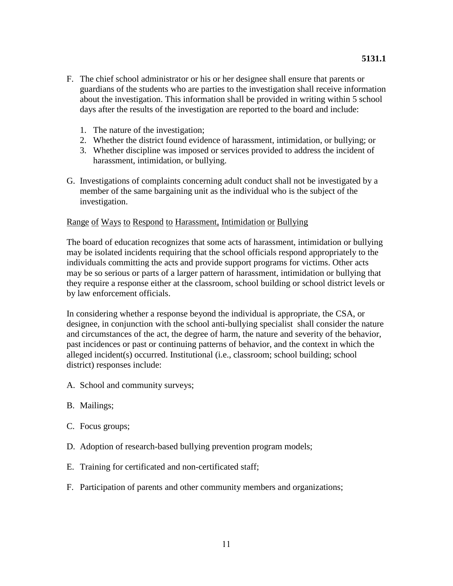- F. The chief school administrator or his or her designee shall ensure that parents or guardians of the students who are parties to the investigation shall receive information about the investigation. This information shall be provided in writing within 5 school days after the results of the investigation are reported to the board and include:
	- 1. The nature of the investigation;
	- 2. Whether the district found evidence of harassment, intimidation, or bullying; or
	- 3. Whether discipline was imposed or services provided to address the incident of harassment, intimidation, or bullying.
- G. Investigations of complaints concerning adult conduct shall not be investigated by a member of the same bargaining unit as the individual who is the subject of the investigation.

## Range of Ways to Respond to Harassment, Intimidation or Bullying

The board of education recognizes that some acts of harassment, intimidation or bullying may be isolated incidents requiring that the school officials respond appropriately to the individuals committing the acts and provide support programs for victims. Other acts may be so serious or parts of a larger pattern of harassment, intimidation or bullying that they require a response either at the classroom, school building or school district levels or by law enforcement officials.

In considering whether a response beyond the individual is appropriate, the CSA, or designee, in conjunction with the school anti-bullying specialist shall consider the nature and circumstances of the act, the degree of harm, the nature and severity of the behavior, past incidences or past or continuing patterns of behavior, and the context in which the alleged incident(s) occurred. Institutional (i.e., classroom; school building; school district) responses include:

- A. School and community surveys;
- B. Mailings;
- C. Focus groups;
- D. Adoption of research-based bullying prevention program models;
- E. Training for certificated and non-certificated staff;
- F. Participation of parents and other community members and organizations;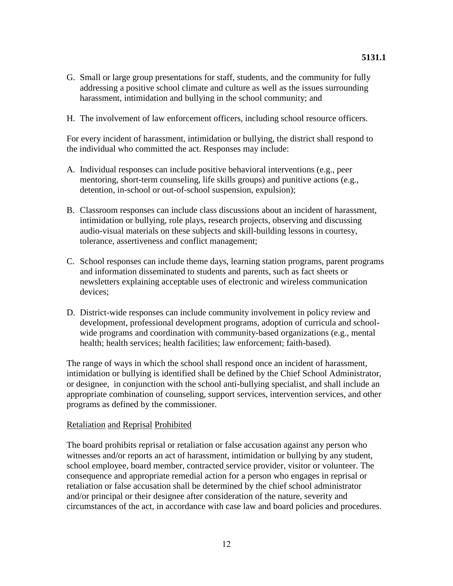- G. Small or large group presentations for staff, students, and the community for fully addressing a positive school climate and culture as well as the issues surrounding harassment, intimidation and bullying in the school community; and
- H. The involvement of law enforcement officers, including school resource officers.

For every incident of harassment, intimidation or bullying, the district shall respond to the individual who committed the act. Responses may include:

- A. Individual responses can include positive behavioral interventions (e.g., peer mentoring, short-term counseling, life skills groups) and punitive actions (e.g., detention, in-school or out-of-school suspension, expulsion);
- B. Classroom responses can include class discussions about an incident of harassment, intimidation or bullying, role plays, research projects, observing and discussing audio-visual materials on these subjects and skill-building lessons in courtesy, tolerance, assertiveness and conflict management;
- C. School responses can include theme days, learning station programs, parent programs and information disseminated to students and parents, such as fact sheets or newsletters explaining acceptable uses of electronic and wireless communication devices;
- D. District-wide responses can include community involvement in policy review and development, professional development programs, adoption of curricula and schoolwide programs and coordination with community-based organizations (e.g., mental health; health services; health facilities; law enforcement; faith-based).

The range of ways in which the school shall respond once an incident of harassment, intimidation or bullying is identified shall be defined by the Chief School Administrator, or designee, in conjunction with the school anti-bullying specialist, and shall include an appropriate combination of counseling, support services, intervention services, and other programs as defined by the commissioner.

#### Retaliation and Reprisal Prohibited

The board prohibits reprisal or retaliation or false accusation against any person who witnesses and/or reports an act of harassment, intimidation or bullying by any student, school employee, board member, contracted service provider, visitor or volunteer. The consequence and appropriate remedial action for a person who engages in reprisal or retaliation or false accusation shall be determined by the chief school administrator and/or principal or their designee after consideration of the nature, severity and circumstances of the act, in accordance with case law and board policies and procedures.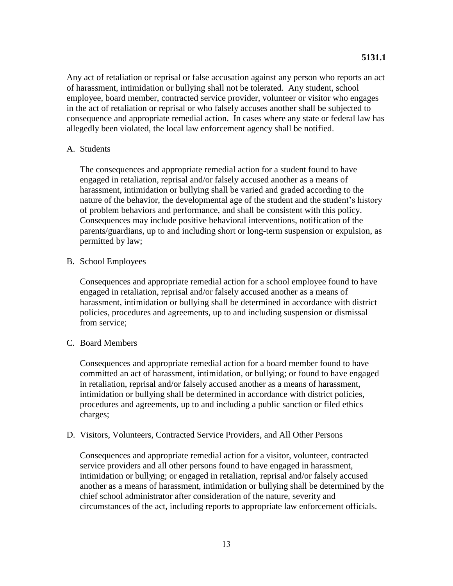Any act of retaliation or reprisal or false accusation against any person who reports an act of harassment, intimidation or bullying shall not be tolerated. Any student, school employee, board member, contracted service provider, volunteer or visitor who engages in the act of retaliation or reprisal or who falsely accuses another shall be subjected to consequence and appropriate remedial action. In cases where any state or federal law has allegedly been violated, the local law enforcement agency shall be notified.

### A. Students

The consequences and appropriate remedial action for a student found to have engaged in retaliation, reprisal and/or falsely accused another as a means of harassment, intimidation or bullying shall be varied and graded according to the nature of the behavior, the developmental age of the student and the student's history of problem behaviors and performance, and shall be consistent with this policy. Consequences may include positive behavioral interventions, notification of the parents/guardians, up to and including short or long-term suspension or expulsion, as permitted by law;

### B. School Employees

Consequences and appropriate remedial action for a school employee found to have engaged in retaliation, reprisal and/or falsely accused another as a means of harassment, intimidation or bullying shall be determined in accordance with district policies, procedures and agreements, up to and including suspension or dismissal from service;

### C. Board Members

Consequences and appropriate remedial action for a board member found to have committed an act of harassment, intimidation, or bullying; or found to have engaged in retaliation, reprisal and/or falsely accused another as a means of harassment, intimidation or bullying shall be determined in accordance with district policies, procedures and agreements, up to and including a public sanction or filed ethics charges;

#### D. Visitors, Volunteers, Contracted Service Providers, and All Other Persons

Consequences and appropriate remedial action for a visitor, volunteer, contracted service providers and all other persons found to have engaged in harassment, intimidation or bullying; or engaged in retaliation, reprisal and/or falsely accused another as a means of harassment, intimidation or bullying shall be determined by the chief school administrator after consideration of the nature, severity and circumstances of the act, including reports to appropriate law enforcement officials.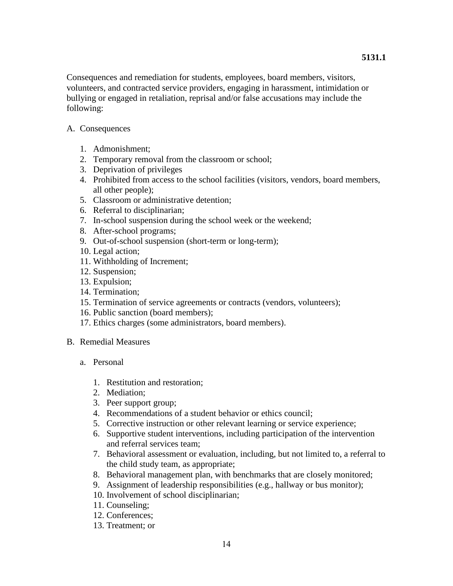Consequences and remediation for students, employees, board members, visitors, volunteers, and contracted service providers, engaging in harassment, intimidation or bullying or engaged in retaliation, reprisal and/or false accusations may include the following:

- A. Consequences
	- 1. Admonishment;
	- 2. Temporary removal from the classroom or school;
	- 3. Deprivation of privileges
	- 4. Prohibited from access to the school facilities (visitors, vendors, board members, all other people);
	- 5. Classroom or administrative detention;
	- 6. Referral to disciplinarian;
	- 7. In-school suspension during the school week or the weekend;
	- 8. After-school programs;
	- 9. Out-of-school suspension (short-term or long-term);
	- 10. Legal action;
	- 11. Withholding of Increment;
	- 12. Suspension;
	- 13. Expulsion;
	- 14. Termination;
	- 15. Termination of service agreements or contracts (vendors, volunteers);
	- 16. Public sanction (board members);
	- 17. Ethics charges (some administrators, board members).
- B. Remedial Measures
	- a. Personal
		- 1. Restitution and restoration;
		- 2. Mediation;
		- 3. Peer support group;
		- 4. Recommendations of a student behavior or ethics council;
		- 5. Corrective instruction or other relevant learning or service experience;
		- 6. Supportive student interventions, including participation of the intervention and referral services team;
		- 7. Behavioral assessment or evaluation, including, but not limited to, a referral to the child study team, as appropriate;
		- 8. Behavioral management plan, with benchmarks that are closely monitored;
		- 9. Assignment of leadership responsibilities (e.g., hallway or bus monitor);
		- 10. Involvement of school disciplinarian;
		- 11. Counseling;
		- 12. Conferences;
		- 13. Treatment; or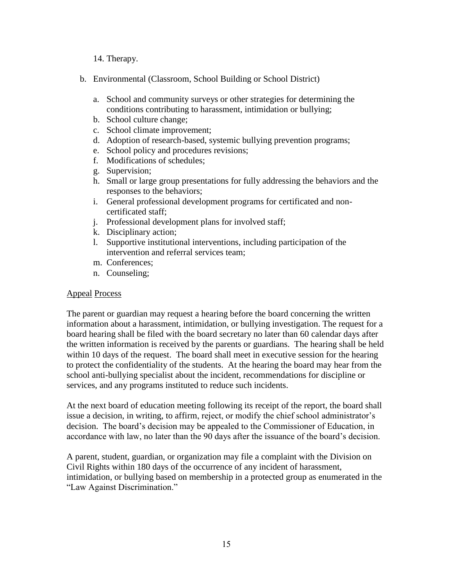14. Therapy.

- b. Environmental (Classroom, School Building or School District)
	- a. School and community surveys or other strategies for determining the conditions contributing to harassment, intimidation or bullying;
	- b. School culture change;
	- c. School climate improvement;
	- d. Adoption of research-based, systemic bullying prevention programs;
	- e. School policy and procedures revisions;
	- f. Modifications of schedules;
	- g. Supervision;
	- h. Small or large group presentations for fully addressing the behaviors and the responses to the behaviors;
	- i. General professional development programs for certificated and noncertificated staff;
	- j. Professional development plans for involved staff;
	- k. Disciplinary action;
	- l. Supportive institutional interventions, including participation of the intervention and referral services team;
	- m. Conferences;
	- n. Counseling;

### Appeal Process

The parent or guardian may request a hearing before the board concerning the written information about a harassment, intimidation, or bullying investigation. The request for a board hearing shall be filed with the board secretary no later than 60 calendar days after the written information is received by the parents or guardians. The hearing shall be held within 10 days of the request. The board shall meet in executive session for the hearing to protect the confidentiality of the students. At the hearing the board may hear from the school anti-bullying specialist about the incident, recommendations for discipline or services, and any programs instituted to reduce such incidents.

At the next board of education meeting following its receipt of the report, the board shall issue a decision, in writing, to affirm, reject, or modify the chief school administrator's decision. The board's decision may be appealed to the Commissioner of Education, in accordance with law, no later than the 90 days after the issuance of the board's decision.

A parent, student, guardian, or organization may file a complaint with the Division on Civil Rights within 180 days of the occurrence of any incident of harassment, intimidation, or bullying based on membership in a protected group as enumerated in the "Law Against Discrimination."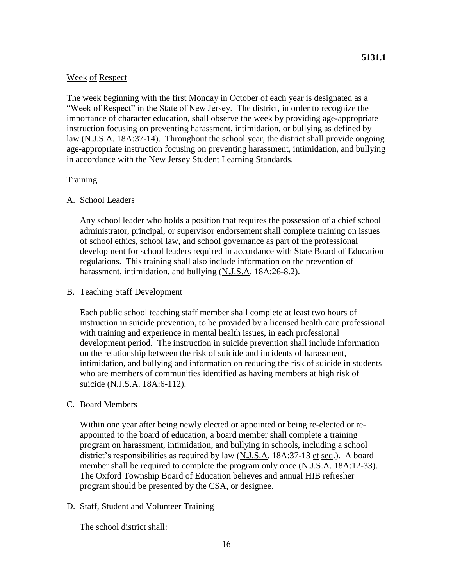### Week of Respect

The week beginning with the first Monday in October of each year is designated as a "Week of Respect" in the State of New Jersey. The district, in order to recognize the importance of character education, shall observe the week by providing age-appropriate instruction focusing on preventing harassment, intimidation, or bullying as defined by law (N.J.S.A. 18A:37-14). Throughout the school year, the district shall provide ongoing age-appropriate instruction focusing on preventing harassment, intimidation, and bullying in accordance with the New Jersey Student Learning Standards.

### **Training**

### A. School Leaders

Any school leader who holds a position that requires the possession of a chief school administrator, principal, or supervisor endorsement shall complete training on issues of school ethics, school law, and school governance as part of the professional development for school leaders required in accordance with State Board of Education regulations. This training shall also include information on the prevention of harassment, intimidation, and bullying (N.J.S.A. 18A:26-8.2).

### B. Teaching Staff Development

Each public school teaching staff member shall complete at least two hours of instruction in suicide prevention, to be provided by a licensed health care professional with training and experience in mental health issues, in each professional development period. The instruction in suicide prevention shall include information on the relationship between the risk of suicide and incidents of harassment, intimidation, and bullying and information on reducing the risk of suicide in students who are members of communities identified as having members at high risk of suicide (N.J.S.A. 18A:6-112).

#### C. Board Members

Within one year after being newly elected or appointed or being re-elected or reappointed to the board of education, a board member shall complete a training program on harassment, intimidation, and bullying in schools, including a school district's responsibilities as required by law  $(N.J.S.A. 18A:37-13 \text{ et seq.})$ . A board member shall be required to complete the program only once (N.J.S.A. 18A:12-33). The Oxford Township Board of Education believes and annual HIB refresher program should be presented by the CSA, or designee.

### D. Staff, Student and Volunteer Training

The school district shall: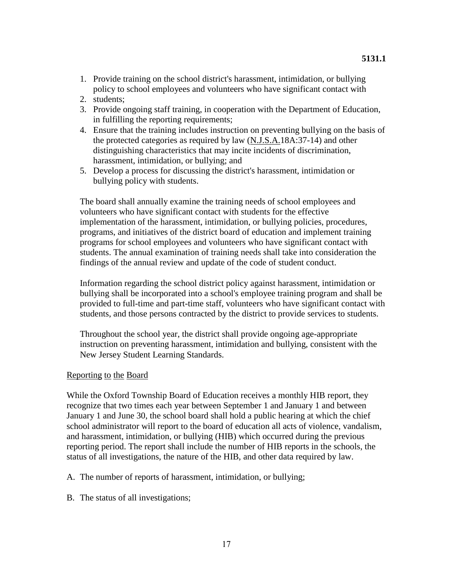- 1. Provide training on the school district's harassment, intimidation, or bullying policy to school employees and volunteers who have significant contact with
- 2. students;
- 3. Provide ongoing staff training, in cooperation with the Department of Education, in fulfilling the reporting requirements;
- 4. Ensure that the training includes instruction on preventing bullying on the basis of the protected categories as required by law (N.J.S.A.18A:37-14) and other distinguishing characteristics that may incite incidents of discrimination, harassment, intimidation, or bullying; and
- 5. Develop a process for discussing the district's harassment, intimidation or bullying policy with students.

The board shall annually examine the training needs of school employees and volunteers who have significant contact with students for the effective implementation of the harassment, intimidation, or bullying policies, procedures, programs, and initiatives of the district board of education and implement training programs for school employees and volunteers who have significant contact with students. The annual examination of training needs shall take into consideration the findings of the annual review and update of the code of student conduct.

Information regarding the school district policy against harassment, intimidation or bullying shall be incorporated into a school's employee training program and shall be provided to full-time and part-time staff, volunteers who have significant contact with students, and those persons contracted by the district to provide services to students.

Throughout the school year, the district shall provide ongoing age-appropriate instruction on preventing harassment, intimidation and bullying, consistent with the New Jersey Student Learning Standards.

### Reporting to the Board

While the Oxford Township Board of Education receives a monthly HIB report, they recognize that two times each year between September 1 and January 1 and between January 1 and June 30, the school board shall hold a public hearing at which the chief school administrator will report to the board of education all acts of violence, vandalism, and harassment, intimidation, or bullying (HIB) which occurred during the previous reporting period. The report shall include the number of HIB reports in the schools, the status of all investigations, the nature of the HIB, and other data required by law.

- A. The number of reports of harassment, intimidation, or bullying;
- B. The status of all investigations;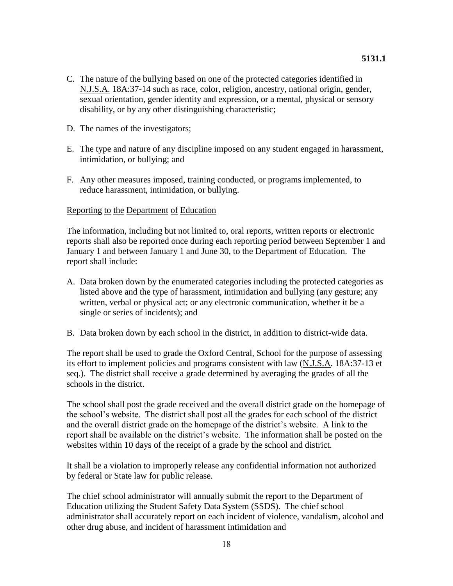- C. The nature of the bullying based on one of the protected categories identified in N.J.S.A. 18A:37-14 such as race, color, religion, ancestry, national origin, gender, sexual orientation, gender identity and expression, or a mental, physical or sensory disability, or by any other distinguishing characteristic;
- D. The names of the investigators;
- E. The type and nature of any discipline imposed on any student engaged in harassment, intimidation, or bullying; and
- F. Any other measures imposed, training conducted, or programs implemented, to reduce harassment, intimidation, or bullying.

#### Reporting to the Department of Education

The information, including but not limited to, oral reports, written reports or electronic reports shall also be reported once during each reporting period between September 1 and January 1 and between January 1 and June 30, to the Department of Education. The report shall include:

- A. Data broken down by the enumerated categories including the protected categories as listed above and the type of harassment, intimidation and bullying (any gesture; any written, verbal or physical act; or any electronic communication, whether it be a single or series of incidents); and
- B. Data broken down by each school in the district, in addition to district-wide data.

The report shall be used to grade the Oxford Central, School for the purpose of assessing its effort to implement policies and programs consistent with law (N.J.S.A. 18A:37-13 et seq.). The district shall receive a grade determined by averaging the grades of all the schools in the district.

The school shall post the grade received and the overall district grade on the homepage of the school's website. The district shall post all the grades for each school of the district and the overall district grade on the homepage of the district's website. A link to the report shall be available on the district's website. The information shall be posted on the websites within 10 days of the receipt of a grade by the school and district.

It shall be a violation to improperly release any confidential information not authorized by federal or State law for public release.

The chief school administrator will annually submit the report to the Department of Education utilizing the Student Safety Data System (SSDS). The chief school administrator shall accurately report on each incident of violence, vandalism, alcohol and other drug abuse, and incident of harassment intimidation and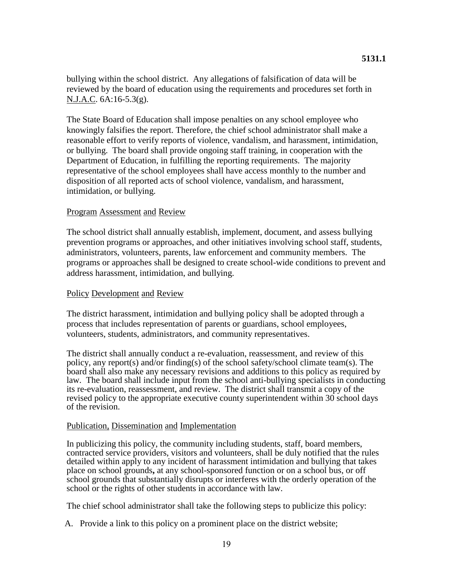bullying within the school district. Any allegations of falsification of data will be reviewed by the board of education using the requirements and procedures set forth in N.J.A.C. 6A:16-5.3(g).

The State Board of Education shall impose penalties on any school employee who knowingly falsifies the report. Therefore, the chief school administrator shall make a reasonable effort to verify reports of violence, vandalism, and harassment, intimidation, or bullying. The board shall provide ongoing staff training, in cooperation with the Department of Education, in fulfilling the reporting requirements. The majority representative of the school employees shall have access monthly to the number and disposition of all reported acts of school violence, vandalism, and harassment, intimidation, or bullying.

### Program Assessment and Review

The school district shall annually establish, implement, document, and assess bullying prevention programs or approaches, and other initiatives involving school staff, students, administrators, volunteers, parents, law enforcement and community members. The programs or approaches shall be designed to create school-wide conditions to prevent and address harassment, intimidation, and bullying.

### Policy Development and Review

The district harassment, intimidation and bullying policy shall be adopted through a process that includes representation of parents or guardians, school employees, volunteers, students, administrators, and community representatives.

The district shall annually conduct a re-evaluation, reassessment, and review of this policy, any report(s) and/or finding(s) of the school safety/school climate team(s). The board shall also make any necessary revisions and additions to this policy as required by law. The board shall include input from the school anti-bullying specialists in conducting its re-evaluation, reassessment, and review. The district shall transmit a copy of the revised policy to the appropriate executive county superintendent within 30 school days of the revision.

#### Publication, Dissemination and Implementation

In publicizing this policy, the community including students, staff, board members, contracted service providers, visitors and volunteers, shall be duly notified that the rules detailed within apply to any incident of harassment intimidation and bullying that takes place on school grounds**,** at any school-sponsored function or on a school bus, or off school grounds that substantially disrupts or interferes with the orderly operation of the school or the rights of other students in accordance with law.

The chief school administrator shall take the following steps to publicize this policy:

A. Provide a link to this policy on a prominent place on the district website;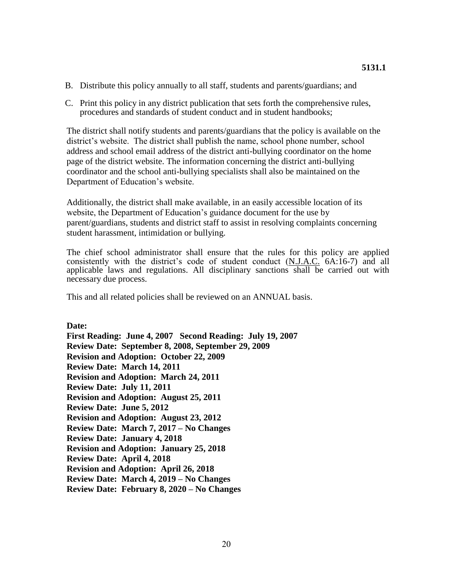- B. Distribute this policy annually to all staff, students and parents/guardians; and
- C. Print this policy in any district publication that sets forth the comprehensive rules, procedures and standards of student conduct and in student handbooks;

The district shall notify students and parents/guardians that the policy is available on the district's website. The district shall publish the name, school phone number, school address and school email address of the district anti-bullying coordinator on the home page of the district website. The information concerning the district anti-bullying coordinator and the school anti-bullying specialists shall also be maintained on the Department of Education's website.

Additionally, the district shall make available, in an easily accessible location of its website, the Department of Education's guidance document for the use by parent/guardians, students and district staff to assist in resolving complaints concerning student harassment, intimidation or bullying.

The chief school administrator shall ensure that the rules for this policy are applied consistently with the district's code of student conduct (N.J.A.C. 6A:16-7) and all applicable laws and regulations. All disciplinary sanctions shall be carried out with necessary due process.

This and all related policies shall be reviewed on an ANNUAL basis.

**Date:**

**First Reading: June 4, 2007 Second Reading: July 19, 2007 Review Date: September 8, 2008, September 29, 2009 Revision and Adoption: October 22, 2009 Review Date: March 14, 2011 Revision and Adoption: March 24, 2011 Review Date: July 11, 2011 Revision and Adoption: August 25, 2011 Review Date: June 5, 2012 Revision and Adoption: August 23, 2012 Review Date: March 7, 2017 – No Changes Review Date: January 4, 2018 Revision and Adoption: January 25, 2018 Review Date: April 4, 2018 Revision and Adoption: April 26, 2018 Review Date: March 4, 2019 – No Changes Review Date: February 8, 2020 – No Changes**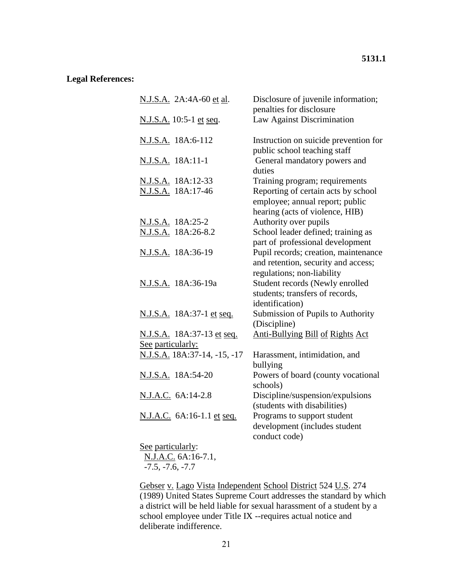# **5131.1**

# **Legal References:**

| N.J.S.A. 2A:4A-60 et al.               | Disclosure of juvenile information;<br>penalties for disclosure                                           |
|----------------------------------------|-----------------------------------------------------------------------------------------------------------|
| <u>N.J.S.A.</u> 10:5-1 <u>et seq</u> . | Law Against Discrimination                                                                                |
| N.J.S.A. 18A:6-112                     | Instruction on suicide prevention for<br>public school teaching staff                                     |
| N.J.S.A. 18A:11-1                      | General mandatory powers and<br>duties                                                                    |
| <u>N.J.S.A.</u> 18A:12-33              | Training program; requirements                                                                            |
| N.J.S.A. 18A:17-46                     | Reporting of certain acts by school<br>employee; annual report; public<br>hearing (acts of violence, HIB) |
| N.J.S.A. 18A:25-2                      | Authority over pupils                                                                                     |
| N.J.S.A. 18A:26-8.2                    | School leader defined; training as<br>part of professional development                                    |
| <u>N.J.S.A.</u> 18A:36-19              | Pupil records; creation, maintenance<br>and retention, security and access;<br>regulations; non-liability |
| N.J.S.A. 18A:36-19a                    | Student records (Newly enrolled<br>students; transfers of records,<br>identification)                     |
| N.J.S.A. 18A:37-1 et seq.              | Submission of Pupils to Authority<br>(Discipline)                                                         |
| <u>N.J.S.A.</u> 18A:37-13 et seq.      | <b>Anti-Bullying Bill of Rights Act</b>                                                                   |
| See particularly:                      |                                                                                                           |
| N.J.S.A. 18A:37-14, -15, -17           | Harassment, intimidation, and<br>bullying                                                                 |
| N.J.S.A. 18A:54-20                     | Powers of board (county vocational<br>schools)                                                            |
| N.J.A.C. 6A:14-2.8                     | Discipline/suspension/expulsions<br>(students with disabilities)                                          |
| N.J.A.C. 6A:16-1.1 et seq.             | Programs to support student<br>development (includes student<br>conduct code)                             |
| See particularly:                      |                                                                                                           |
| NIAC <sub>6</sub> $\Lambda$ .1671      |                                                                                                           |

N.J.A.C. 6A:16-7.1, -7.5, -7.6, -7.7

Gebser v. Lago Vista Independent School District 524 U.S. 274 (1989) United States Supreme Court addresses the standard by which a district will be held liable for sexual harassment of a student by a school employee under Title IX --requires actual notice and deliberate indifference.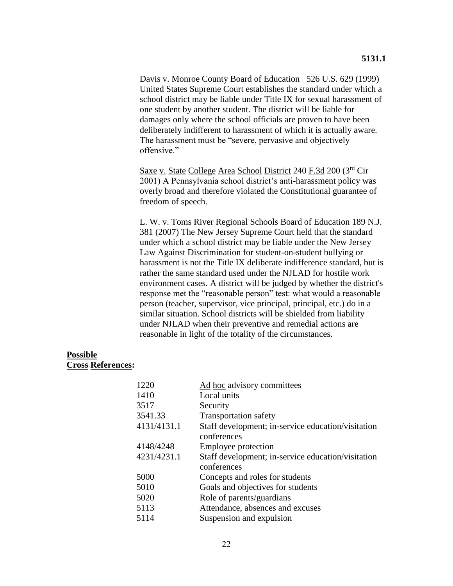Davis v. Monroe County Board of Education 526 U.S. 629 (1999) United States Supreme Court establishes the standard under which a school district may be liable under Title IX for sexual harassment of one student by another student. The district will be liable for damages only where the school officials are proven to have been deliberately indifferent to harassment of which it is actually aware. The harassment must be "severe, pervasive and objectively offensive."

Saxe v. State College Area School District 240 F.3d 200 (3rd Cir 2001) A Pennsylvania school district's anti-harassment policy was overly broad and therefore violated the Constitutional guarantee of freedom of speech.

L. W. v. Toms River Regional Schools Board of Education 189 N.J. 381 (2007) The New Jersey Supreme Court held that the standard under which a school district may be liable under the New Jersey Law Against Discrimination for student-on-student bullying or harassment is not the Title IX deliberate indifference standard, but is rather the same standard used under the NJLAD for hostile work environment cases. A district will be judged by whether the district's response met the "reasonable person" test: what would a reasonable person (teacher, supervisor, vice principal, principal, etc.) do in a similar situation. School districts will be shielded from liability under NJLAD when their preventive and remedial actions are reasonable in light of the totality of the circumstances.

### **Possible Cross References:**

| 1220        | Ad hoc advisory committees                         |
|-------------|----------------------------------------------------|
| 1410        | Local units                                        |
| 3517        | Security                                           |
| 3541.33     | <b>Transportation safety</b>                       |
|             |                                                    |
| 4131/4131.1 | Staff development; in-service education/visitation |
|             | conferences                                        |
| 4148/4248   | Employee protection                                |
| 4231/4231.1 | Staff development; in-service education/visitation |
|             | conferences                                        |
| 5000        | Concepts and roles for students                    |
| 5010        | Goals and objectives for students                  |
| 5020        | Role of parents/guardians                          |
| 5113        | Attendance, absences and excuses                   |
| 5114        | Suspension and expulsion                           |
|             |                                                    |